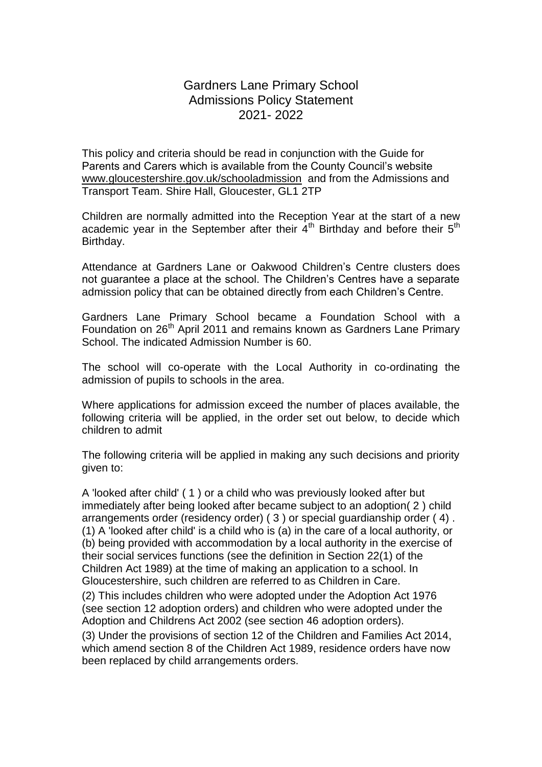# Gardners Lane Primary School Admissions Policy Statement 2021- 2022

This policy and criteria should be read in conjunction with the Guide for Parents and Carers which is available from the County Council's website [www.gloucestershire.gov.uk/schooladmission](http://www.gloucestershire.gov.uk/schooladmission) and from the Admissions and Transport Team. Shire Hall, Gloucester, GL1 2TP

Children are normally admitted into the Reception Year at the start of a new academic year in the September after their  $4<sup>th</sup>$  Birthday and before their  $5<sup>th</sup>$ Birthday.

Attendance at Gardners Lane or Oakwood Children's Centre clusters does not guarantee a place at the school. The Children's Centres have a separate admission policy that can be obtained directly from each Children's Centre.

Gardners Lane Primary School became a Foundation School with a Foundation on 26<sup>th</sup> April 2011 and remains known as Gardners Lane Primary School. The indicated Admission Number is 60.

The school will co-operate with the Local Authority in co-ordinating the admission of pupils to schools in the area.

Where applications for admission exceed the number of places available, the following criteria will be applied, in the order set out below, to decide which children to admit

The following criteria will be applied in making any such decisions and priority given to:

A 'looked after child' ( 1 ) or a child who was previously looked after but immediately after being looked after became subject to an adoption( 2 ) child arrangements order (residency order) ( 3 ) or special guardianship order ( 4) . (1) A 'looked after child' is a child who is (a) in the care of a local authority, or (b) being provided with accommodation by a local authority in the exercise of their social services functions (see the definition in Section 22(1) of the Children Act 1989) at the time of making an application to a school. In Gloucestershire, such children are referred to as Children in Care.

(2) This includes children who were adopted under the Adoption Act 1976 (see section 12 adoption orders) and children who were adopted under the Adoption and Childrens Act 2002 (see section 46 adoption orders).

(3) Under the provisions of section 12 of the Children and Families Act 2014, which amend section 8 of the Children Act 1989, residence orders have now been replaced by child arrangements orders.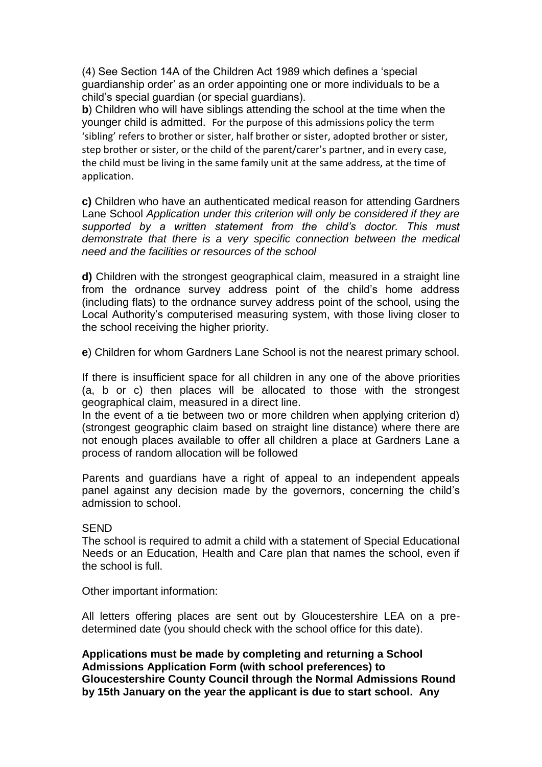(4) See Section 14A of the Children Act 1989 which defines a 'special guardianship order' as an order appointing one or more individuals to be a child's special guardian (or special guardians).

**b**) Children who will have siblings attending the school at the time when the younger child is admitted. For the purpose of this admissions policy the term 'sibling' refers to brother or sister, half brother or sister, adopted brother or sister, step brother or sister, or the child of the parent/carer's partner, and in every case, the child must be living in the same family unit at the same address, at the time of application.

**c)** Children who have an authenticated medical reason for attending Gardners Lane School *Application under this criterion will only be considered if they are supported by a written statement from the child's doctor. This must demonstrate that there is a very specific connection between the medical need and the facilities or resources of the school*

**d)** Children with the strongest geographical claim, measured in a straight line from the ordnance survey address point of the child's home address (including flats) to the ordnance survey address point of the school, using the Local Authority's computerised measuring system, with those living closer to the school receiving the higher priority.

**e**) Children for whom Gardners Lane School is not the nearest primary school.

If there is insufficient space for all children in any one of the above priorities (a, b or c) then places will be allocated to those with the strongest geographical claim, measured in a direct line.

In the event of a tie between two or more children when applying criterion d) (strongest geographic claim based on straight line distance) where there are not enough places available to offer all children a place at Gardners Lane a process of random allocation will be followed

Parents and guardians have a right of appeal to an independent appeals panel against any decision made by the governors, concerning the child's admission to school.

## **SEND**

The school is required to admit a child with a statement of Special Educational Needs or an Education, Health and Care plan that names the school, even if the school is full.

Other important information:

All letters offering places are sent out by Gloucestershire LEA on a predetermined date (you should check with the school office for this date).

**Applications must be made by completing and returning a School Admissions Application Form (with school preferences) to Gloucestershire County Council through the Normal Admissions Round by 15th January on the year the applicant is due to start school. Any**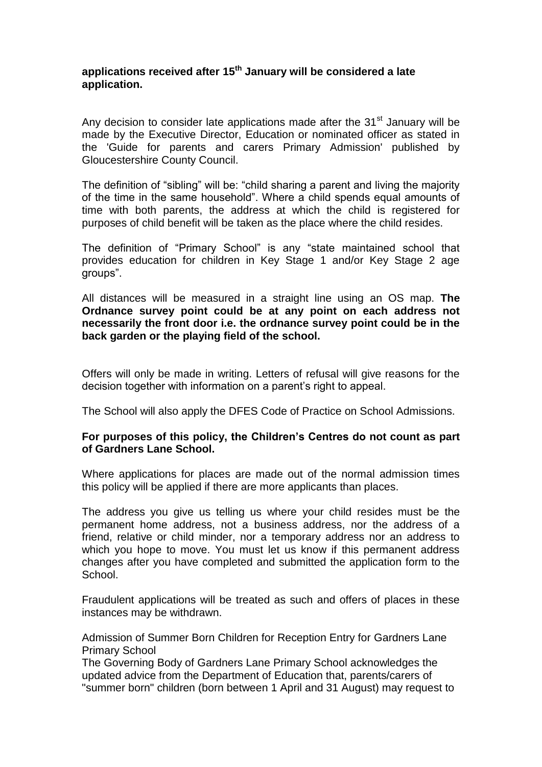# **applications received after 15th January will be considered a late application.**

Any decision to consider late applications made after the  $31<sup>st</sup>$  January will be made by the Executive Director, Education or nominated officer as stated in the 'Guide for parents and carers Primary Admission' published by Gloucestershire County Council.

The definition of "sibling" will be: "child sharing a parent and living the majority of the time in the same household". Where a child spends equal amounts of time with both parents, the address at which the child is registered for purposes of child benefit will be taken as the place where the child resides.

The definition of "Primary School" is any "state maintained school that provides education for children in Key Stage 1 and/or Key Stage 2 age groups".

All distances will be measured in a straight line using an OS map. **The Ordnance survey point could be at any point on each address not necessarily the front door i.e. the ordnance survey point could be in the back garden or the playing field of the school.** 

Offers will only be made in writing. Letters of refusal will give reasons for the decision together with information on a parent's right to appeal.

The School will also apply the DFES Code of Practice on School Admissions.

# **For purposes of this policy, the Children's Centres do not count as part of Gardners Lane School.**

Where applications for places are made out of the normal admission times this policy will be applied if there are more applicants than places.

The address you give us telling us where your child resides must be the permanent home address, not a business address, nor the address of a friend, relative or child minder, nor a temporary address nor an address to which you hope to move. You must let us know if this permanent address changes after you have completed and submitted the application form to the School.

Fraudulent applications will be treated as such and offers of places in these instances may be withdrawn.

Admission of Summer Born Children for Reception Entry for Gardners Lane Primary School

The Governing Body of Gardners Lane Primary School acknowledges the updated advice from the Department of Education that, parents/carers of "summer born" children (born between 1 April and 31 August) may request to